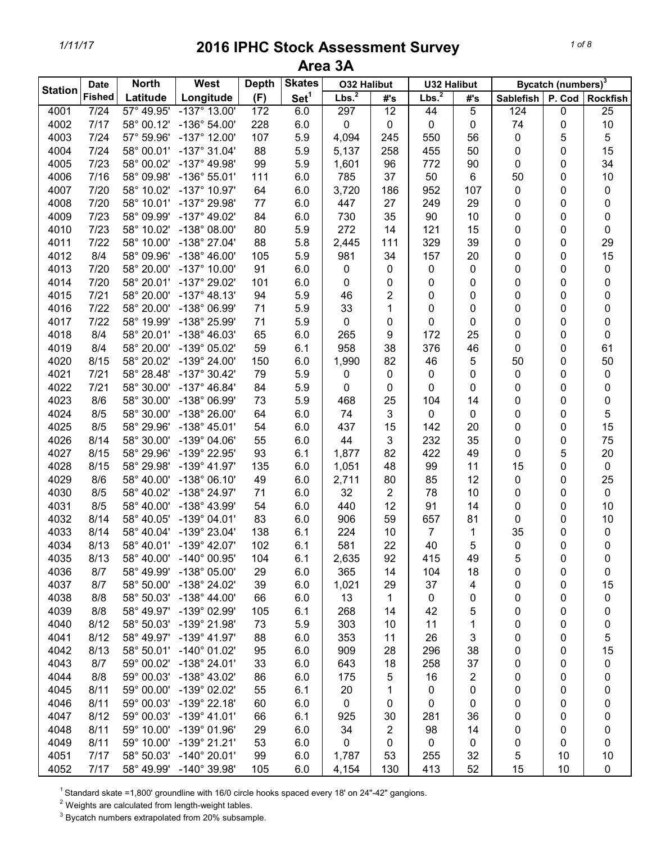| Area 3A        |               |              |                         |              |                  |                    |                 |                    |                |                  |                                |                 |
|----------------|---------------|--------------|-------------------------|--------------|------------------|--------------------|-----------------|--------------------|----------------|------------------|--------------------------------|-----------------|
| <b>Station</b> | <b>Date</b>   | <b>North</b> | West                    | <b>Depth</b> | <b>Skates</b>    | <b>O32 Halibut</b> |                 | <b>U32 Halibut</b> |                |                  | Bycatch (numbers) <sup>3</sup> |                 |
|                | <b>Fished</b> | Latitude     | Longitude               | (F)          | Set <sup>1</sup> | Lbs. <sup>2</sup>  | #'s             | Lbs. <sup>2</sup>  | #'s            | <b>Sablefish</b> | P. Cod                         | <b>Rockfish</b> |
| 4001           | 7/24          | 57° 49.95'   | $-137^\circ$ 13.00'     | 172          | 6.0              | 297                | $\overline{12}$ | 44                 | $\overline{5}$ | 124              | 0                              | $\overline{25}$ |
| 4002           | 7/17          | 58° 00.12'   | $-136^{\circ} 54.00'$   | 228          | 6.0              | 0                  | 0               | 0                  | 0              | 74               | 0                              | $10$            |
| 4003           | 7/24          | 57° 59.96'   | $-137^\circ$ 12.00'     | 107          | 5.9              | 4,094              | 245             | 550                | 56             | 0                | 5                              | 5               |
| 4004           | 7/24          | 58° 00.01'   | $-137°31.04'$           | 88           | 5.9              | 5,137              | 258             | 455                | 50             | 0                | 0                              | 15              |
| 4005           | 7/23          | 58° 00.02'   | $-137^{\circ}$ 49.98'   | 99           | 5.9              | 1,601              | 96              | 772                | 90             | 0                | 0                              | 34              |
| 4006           | 7/16          | 58° 09.98'   | $-136°55.01'$           | 111          | 6.0              | 785                | 37              | 50                 | 6              | 50               | 0                              | 10              |
| 4007           | 7/20          | 58° 10.02'   | $-137^{\circ}$ 10.97'   | 64           | 6.0              | 3,720              | 186             | 952                | 107            | 0                | 0                              | 0               |
| 4008           | 7/20          | 58° 10.01'   | -137° 29.98'            | 77           | 6.0              | 447                | 27              | 249                | 29             | 0                | 0                              | 0               |
| 4009           | 7/23          | 58° 09.99'   | $-137^{\circ}$ 49.02'   | 84           | 6.0              | 730                | 35              | 90                 | 10             | 0                | 0                              | 0               |
| 4010           | 7/23          | 58° 10.02'   | $-138^{\circ}$ 08.00'   | 80           | 5.9              | 272                | 14              | 121                | 15             | 0                | 0                              | 0               |
| 4011           | 7/22          | 58° 10.00'   | -138° 27.04'            | 88           | 5.8              | 2,445              | 111             | 329                | 39             | 0                | 0                              | 29              |
| 4012           | 8/4           | 58° 09.96'   | $-138^{\circ}$ 46.00'   | 105          | 5.9              | 981                | 34              | 157                | 20             | 0                | 0                              | 15              |
| 4013           | 7/20          | 58° 20.00'   | $-137^{\circ}$ 10.00'   | 91           | 6.0              | 0                  | 0               | 0                  | 0              | 0                | 0                              | $\pmb{0}$       |
| 4014           | 7/20          | 58° 20.01'   | -137° 29.02'            | 101          | 6.0              | 0                  | 0               | 0                  | 0              | 0                | 0                              | 0               |
| 4015           | 7/21          | 58° 20.00'   | $-137^\circ$ 48.13'     | 94           | 5.9              | 46                 | 2               | 0                  | 0              | 0                | 0                              | 0               |
| 4016           | 7/22          | 58° 20.00'   | -138° 06.99'            | 71           | 5.9              | 33                 | 1               | 0                  | 0              | 0                | 0                              | 0               |
| 4017           | 7/22          | 58° 19.99'   | -138° 25.99'            | 71           | 5.9              | 0                  | 0               | 0                  | 0              | 0                | 0                              | 0               |
| 4018           | 8/4           | 58° 20.01'   | $-138^{\circ}$ 46.03'   | 65           | 6.0              | 265                | 9               | 172                | 25             | 0                | 0                              | 0               |
| 4019           | 8/4           | 58° 20.00'   | -139° 05.02'            | 59           | 6.1              | 958                | 38              | 376                | 46             | 0                | 0                              | 61              |
| 4020           | 8/15          | 58° 20.02'   | -139° 24.00'            | 150          | 6.0              | 1,990              | 82              | 46                 | 5              | 50               | 0                              | 50              |
| 4021           | 7/21          | 58° 28.48'   | $-137^{\circ}$ 30.42'   | 79           | 5.9              | 0                  | 0               | 0                  | 0              | 0                | 0                              | 0               |
| 4022           | 7/21          | 58° 30.00'   | $-137^{\circ}$ 46.84'   | 84           | 5.9              | 0                  | 0               | 0                  | 0              | 0                | 0                              | 0               |
| 4023           | 8/6           | 58° 30.00'   | -138° 06.99'            | 73           | 5.9              | 468                | 25              | 104                | 14             | 0                | 0                              | 0               |
| 4024           | 8/5           | 58° 30.00'   | -138° 26.00'            | 64           | 6.0              | 74                 | 3               | 0                  | 0              | 0                | 0                              | 5               |
| 4025           | 8/5           | 58° 29.96'   | $-138^{\circ}$ 45.01'   | 54           | 6.0              | 437                | 15              | 142                | 20             | 0                | 0                              | 15              |
| 4026           | 8/14          | 58° 30.00'   | -139° 04.06'            | 55           | 6.0              | 44                 | 3               | 232                | 35             | 0                | 0                              | 75              |
| 4027           | 8/15          | 58° 29.96'   | -139° 22.95'            | 93           | 6.1              | 1,877              | 82              | 422                | 49             | 0                | 5                              | $20\,$          |
| 4028           | 8/15          | 58° 29.98'   | $-139^{\circ}$ 41.97'   | 135          | 6.0              | 1,051              | 48              | 99                 | 11             | 15               | 0                              | $\pmb{0}$       |
| 4029           | 8/6           | 58° 40.00'   | $-138°06.10'$           | 49           | 6.0              | 2,711              | 80              | 85                 | 12             | 0                | 0                              | 25              |
| 4030           | 8/5           | 58° 40.02'   | -138° 24.97'            | 71           | 6.0              | 32                 | 2               | 78                 | 10             | 0                | 0                              | $\pmb{0}$       |
| 4031           | 8/5           | 58° 40.00'   | -138° 43.99'            | 54           | 6.0              | 440                | 12              | 91                 | 14             | 0                | 0                              | 10              |
| 4032           | 8/14          | 58° 40.05'   | -139° 04.01'            | 83           | 6.0              | 906                | 59              | 657                | 81             | 0                | 0                              | 10              |
| 4033           | 8/14          | 58° 40.04'   | $-139^{\circ}$ 23.04'   | 138          | 6.1              | 224                | 10              | 7                  | 1              | 35               | 0                              | $\mathbf 0$     |
| 4034           | 8/13          |              | 58° 40.01' -139° 42.07' | 102          | 6.1              | 581                | 22              | 40                 | 5              | 0                | 0                              | 0               |
| 4035           | 8/13          | 58° 40.00'   | -140° 00.95'            | 104          | 6.1              | 2,635              | 92              | 415                | 49             | 5                | 0                              | 0               |
| 4036           | 8/7           | 58° 49.99'   | -138° 05.00'            | 29           | 6.0              | 365                | 14              | 104                | 18             | 0                | 0                              | 0               |
| 4037           | 8/7           | 58° 50.00'   | -138° 24.02'            | 39           | 6.0              | 1,021              | 29              | 37                 | 4              | 0                | 0                              | 15              |
| 4038           | 8/8           | 58° 50.03'   | $-138^{\circ}$ 44.00'   | 66           | 6.0              | 13                 | 1               | $\mathbf 0$        | 0              | 0                | 0                              | 0               |
| 4039           | 8/8           | 58° 49.97'   | -139° 02.99'            | 105          | 6.1              | 268                | 14              | 42                 | 5              | 0                | 0                              | 0               |
| 4040           | 8/12          | 58° 50.03'   | -139° 21.98'            | 73           | 5.9              | 303                | 10              | 11                 | 1              | 0                | 0                              | 0               |
| 4041           | 8/12          | 58° 49.97'   | $-139^{\circ}$ 41.97'   | 88           | 6.0              | 353                | 11              | 26                 | 3              | 0                | 0                              | 5               |
| 4042           | 8/13          | 58° 50.01'   | $-140^{\circ}$ 01.02'   | 95           | 6.0              | 909                | 28              | 296                | 38             | 0                | 0                              | 15              |
| 4043           | 8/7           |              | 59° 00.02' -138° 24.01' | 33           | 6.0              | 643                | 18              | 258                | 37             | 0                | 0                              | 0               |
| 4044           | 8/8           | 59° 00.03'   | -138° 43.02'            | 86           | 6.0              | 175                | 5               | 16                 | 2              | 0                | 0                              | 0               |
| 4045           | 8/11          | 59° 00.00'   | -139° 02.02'            | 55           | 6.1              | 20                 | 1               | 0                  | 0              | 0                | 0                              | 0               |
| 4046           | 8/11          | 59° 00.03'   | $-139°$ 22.18'          | 60           | 6.0              | 0                  | 0               | 0                  | 0              | 0                | 0                              | 0               |
| 4047           | 8/12          | 59° 00.03'   | $-139^{\circ}$ 41.01'   | 66           | 6.1              | 925                | 30              | 281                | 36             | 0                | 0                              | 0               |
| 4048           | 8/11          | 59° 10.00'   | $-139°$ 01.96'          | 29           | 6.0              | 34                 | 2               | 98                 | 14             | 0                | 0                              | 0               |
| 4049           | 8/11          | 59° 10.00'   | $-139°$ 21.21'          | 53           | 6.0              | 0                  | 0               | 0                  | 0              | 0                | 0                              | 0               |
| 4051           | 7/17          | 58° 50.03'   | $-140^{\circ}$ 20.01'   | 99           | 6.0              | 1,787              | 53              | 255                | 32             | 5                | 10                             | 10              |
| 4052           | 7/17          |              | 58° 49.99' -140° 39.98' | 105          | 6.0              | 4,154              | 130             | 413                | 52             | 15               | 10                             | 0               |

<sup>1</sup> Standard skate =1,800' groundline with 16/0 circle hooks spaced every 18' on 24"-42" gangions.

 $2$  Weights are calculated from length-weight tables.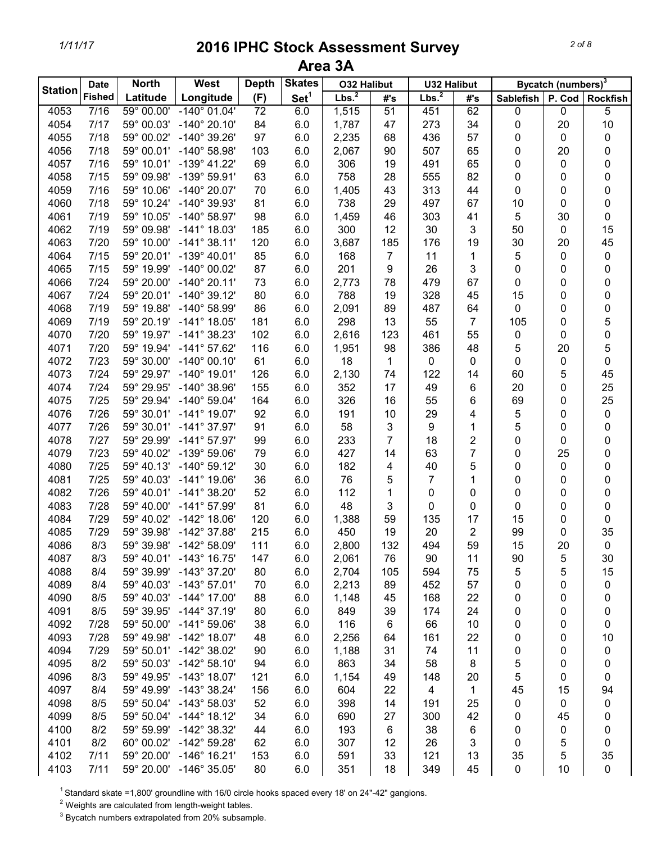| a<br>ι. |  |
|---------|--|
|         |  |

|                | <b>Date</b>   | <b>North</b> | West                  | <b>Depth</b>    | <b>Skates</b>    | <b>O32 Halibut</b> |     | <b>U32 Halibut</b> |     |                  | Bycatch (numbers) <sup>3</sup> |                 |
|----------------|---------------|--------------|-----------------------|-----------------|------------------|--------------------|-----|--------------------|-----|------------------|--------------------------------|-----------------|
| <b>Station</b> | <b>Fished</b> | Latitude     | Longitude             | (F)             | Set <sup>1</sup> | Lbs. <sup>2</sup>  | #'s | Lbs. <sup>2</sup>  | #'s | <b>Sablefish</b> | P. Cod                         | <b>Rockfish</b> |
| 4053           | 7/16          | 59° 00.00'   | $-140^{\circ} 01.04'$ | $\overline{72}$ | 6.0              | 1,515              | 51  | 451                | 62  | 0                | 0                              | 5               |
| 4054           | 7/17          | 59° 00.03'   | $-140^{\circ}$ 20.10' | 84              | 6.0              | 1,787              | 47  | 273                | 34  | 0                | 20                             | 10              |
| 4055           | 7/18          | 59° 00.02'   | -140° 39.26'          | 97              | 6.0              | 2,235              | 68  | 436                | 57  | 0                | 0                              | 0               |
| 4056           | 7/18          | 59° 00.01'   | -140° 58.98'          | 103             | 6.0              | 2,067              | 90  | 507                | 65  | 0                | 20                             | 0               |
| 4057           | 7/16          | 59° 10.01'   | $-139^{\circ}$ 41.22' | 69              | 6.0              | 306                | 19  | 491                | 65  | 0                | 0                              | 0               |
| 4058           | 7/15          | 59° 09.98'   | -139° 59.91'          | 63              | 6.0              | 758                | 28  | 555                | 82  | 0                | 0                              | 0               |
| 4059           | 7/16          | 59° 10.06'   | $-140^{\circ}$ 20.07' | 70              | 6.0              | 1,405              | 43  | 313                | 44  | 0                | 0                              | 0               |
| 4060           | 7/18          | 59° 10.24'   | -140° 39.93'          | 81              | 6.0              | 738                | 29  | 497                | 67  | 10               | 0                              | 0               |
| 4061           | 7/19          | 59° 10.05'   | $-140^{\circ}$ 58.97' | 98              | 6.0              | 1,459              | 46  | 303                | 41  | 5                | 30                             | 0               |
| 4062           | 7/19          | 59° 09.98'   | $-141^{\circ}$ 18.03' | 185             | 6.0              | 300                | 12  | 30                 | 3   | 50               | 0                              | 15              |
| 4063           | 7/20          | 59° 10.00'   | $-141^{\circ}$ 38.11' | 120             | 6.0              | 3,687              | 185 | 176                | 19  | 30               | 20                             | 45              |
| 4064           | 7/15          | 59° 20.01'   | $-139^{\circ}$ 40.01' | 85              | 6.0              | 168                | 7   | 11                 | 1   | 5                | 0                              | 0               |
| 4065           | 7/15          | 59° 19.99'   | $-140^{\circ}$ 00.02' | 87              | 6.0              | 201                | 9   | 26                 | 3   | 0                |                                |                 |
|                |               |              |                       |                 |                  |                    |     | 479                | 67  |                  | 0                              | 0               |
| 4066           | 7/24          | 59° 20.00'   | $-140^{\circ}$ 20.11' | 73              | 6.0              | 2,773              | 78  |                    |     | 0                | 0                              | 0               |
| 4067           | 7/24          | 59° 20.01'   | $-140^{\circ}$ 39.12' | 80              | 6.0              | 788                | 19  | 328                | 45  | 15               | 0                              | 0               |
| 4068           | 7/19          | 59° 19.88'   | -140° 58.99'          | 86              | 6.0              | 2,091              | 89  | 487                | 64  | 0                | 0                              | 0               |
| 4069           | 7/19          | 59° 20.19'   | $-141^{\circ}$ 18.05' | 181             | 6.0              | 298                | 13  | 55                 | 7   | 105              | 0                              | 5               |
| 4070           | 7/20          | 59° 19.97'   | $-141^{\circ}$ 38.23' | 102             | 6.0              | 2,616              | 123 | 461                | 55  | 0                | 0                              | 0               |
| 4071           | 7/20          | 59° 19.94'   | $-141^{\circ}$ 57.62' | 116             | 6.0              | 1,951              | 98  | 386                | 48  | 5                | 20                             | 5               |
| 4072           | 7/23          | 59° 30.00'   | $-140^{\circ}$ 00.10' | 61              | 6.0              | 18                 | 1   | $\pmb{0}$          | 0   | 0                | 0                              | 0               |
| 4073           | 7/24          | 59° 29.97'   | $-140^{\circ}$ 19.01' | 126             | 6.0              | 2,130              | 74  | 122                | 14  | 60               | 5                              | 45              |
| 4074           | 7/24          | 59° 29.95'   | $-140^{\circ}$ 38.96' | 155             | 6.0              | 352                | 17  | 49                 | 6   | 20               | 0                              | 25              |
| 4075           | 7/25          | 59° 29.94'   | $-140^{\circ}$ 59.04' | 164             | 6.0              | 326                | 16  | 55                 | 6   | 69               | 0                              | 25              |
| 4076           | 7/26          | 59° 30.01'   | $-141^{\circ}$ 19.07' | 92              | 6.0              | 191                | 10  | 29                 | 4   | 5                | 0                              | $\pmb{0}$       |
| 4077           | 7/26          | 59° 30.01'   | $-141^{\circ}$ 37.97' | 91              | 6.0              | 58                 | 3   | 9                  | 1   | 5                | 0                              | 0               |
| 4078           | 7/27          | 59° 29.99'   | $-141^{\circ}$ 57.97' | 99              | 6.0              | 233                | 7   | 18                 | 2   | 0                | 0                              | 0               |
| 4079           | 7/23          | 59° 40.02'   | $-139°59.06'$         | 79              | 6.0              | 427                | 14  | 63                 | 7   | 0                | 25                             | 0               |
| 4080           | 7/25          | 59° 40.13'   | $-140^{\circ}$ 59.12' | 30              | 6.0              | 182                | 4   | 40                 | 5   | 0                | 0                              | 0               |
| 4081           | 7/25          | 59° 40.03'   | $-141^{\circ}$ 19.06' | 36              | 6.0              | 76                 | 5   | 7                  | 1   | 0                | 0                              | 0               |
| 4082           | 7/26          | 59° 40.01'   | $-141^{\circ}$ 38.20' | 52              | 6.0              | 112                | 1   | 0                  | 0   | 0                | 0                              | 0               |
| 4083           | 7/28          | 59° 40.00'   | $-141^{\circ}$ 57.99' | 81              | 6.0              | 48                 | 3   | 0                  | 0   | 0                | 0                              | 0               |
| 4084           | 7/29          | 59° 40.02'   | $-142^{\circ}$ 18.06' | 120             | 6.0              | 1,388              | 59  | 135                | 17  | 15               | 0                              | 0               |
| 4085           | 7/29          | 59° 39.98'   | $-142^{\circ}$ 37.88' | 215             | 6.0              | 450                | 19  | 20                 | 2   | 99               | 0                              | 35              |
| 4086           | 8/3           | 59° 39.98'   | $-142^{\circ}$ 58.09' | 111             | 6.0              | 2,800              | 132 | 494                | 59  | 15               | 20                             | $\pmb{0}$       |
| 4087           | 8/3           | 59° 40.01'   | $-143^{\circ}$ 16.75' | 147             | 6.0              | 2,061              | 76  | 90                 | 11  | 90               | 5                              | 30              |
| 4088           | 8/4           | 59° 39.99'   | $-143^{\circ}$ 37.20' | 80              | 6.0              | 2,704              | 105 | 594                | 75  | 5                | 5                              | 15              |
| 4089           | 8/4           | 59° 40.03'   | $-143^{\circ}$ 57.01' | 70              | 6.0              | 2,213              | 89  | 452                | 57  | 0                | 0                              | 0               |
| 4090           | 8/5           | 59° 40.03'   | $-144^{\circ}$ 17.00' | 88              | 6.0              | 1,148              | 45  | 168                | 22  | 0                | 0                              | 0               |
| 4091           | 8/5           | 59° 39.95'   | $-144^{\circ}$ 37.19' | 80              | 6.0              | 849                | 39  | 174                | 24  | 0                | 0                              | 0               |
| 4092           | 7/28          | 59° 50.00'   | $-141^{\circ}59.06'$  | 38              | 6.0              | 116                | 6   | 66                 | 10  | 0                | 0                              | 0               |
| 4093           | 7/28          | 59° 49.98'   | $-142^{\circ}$ 18.07' | 48              | 6.0              | 2,256              | 64  | 161                | 22  | 0                | 0                              | 10              |
| 4094           | 7/29          | 59° 50.01'   | $-142^{\circ}$ 38.02' | 90              | 6.0              | 1,188              | 31  | 74                 | 11  | 0                | 0                              | 0               |
| 4095           | 8/2           | 59° 50.03'   | $-142^{\circ}$ 58.10' | 94              | 6.0              | 863                | 34  | 58                 | 8   | 5                | 0                              | 0               |
| 4096           | 8/3           | 59° 49.95'   | $-143^{\circ}$ 18.07' | 121             | 6.0              | 1,154              | 49  | 148                | 20  | 5                | 0                              | 0               |
| 4097           | 8/4           | 59° 49.99'   | $-143^{\circ}38.24'$  | 156             | 6.0              | 604                | 22  | 4                  |     | 45               | 15                             | 94              |
| 4098           |               | 59° 50.04'   | $-143^{\circ}58.03'$  |                 |                  |                    |     | 191                | 1   |                  |                                |                 |
|                | 8/5           |              |                       | 52              | 6.0              | 398                | 14  |                    | 25  | 0                | 0                              | 0               |
| 4099           | 8/5           | 59° 50.04'   | $-144^{\circ}$ 18.12' | 34              | 6.0              | 690                | 27  | 300                | 42  | 0                | 45                             | 0               |
| 4100           | 8/2           | 59° 59.99'   | -142° 38.32'          | 44              | 6.0              | 193                | 6   | 38                 | 6   | 0                | 0                              | 0               |
| 4101           | 8/2           | 60° 00.02'   | $-142^{\circ}$ 59.28' | 62              | 6.0              | 307                | 12  | 26                 | 3   | 0                | 5                              | 0               |
| 4102           | 7/11          | 59° 20.00'   | $-146^\circ$ 16.21'   | 153             | 6.0              | 591                | 33  | 121                | 13  | 35               | 5                              | 35              |
| 4103           | 7/11          | 59° 20.00'   | $-146^{\circ}$ 35.05' | 80              | 6.0              | 351                | 18  | 349                | 45  | 0                | 10                             | 0               |

 $1$  Standard skate =1,800' groundline with 16/0 circle hooks spaced every 18' on 24"-42" gangions.

 $2$  Weights are calculated from length-weight tables.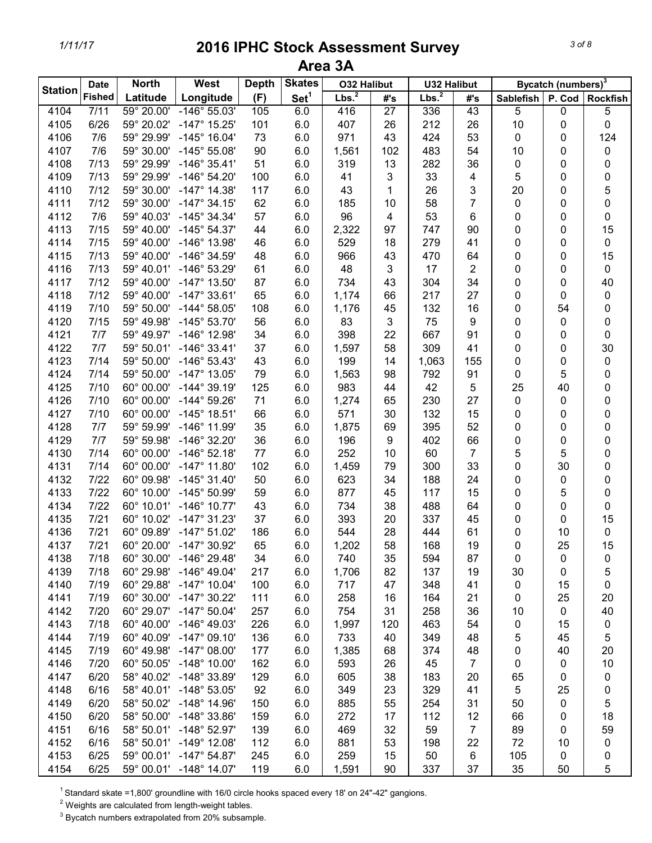| <b>Bycatch (numbers)</b> <sup>3</sup><br><b>Skates</b><br><b>North</b><br>West<br><b>Depth</b><br><b>O32 Halibut</b><br><b>U32 Halibut</b><br><b>Date</b><br><b>Station</b><br>Lbs. <sup>2</sup><br>Lbs. <sup>2</sup><br><b>Fished</b><br>Set <sup>1</sup><br>Latitude<br>Longitude<br>(F)<br>#'s<br>#'s<br><b>Sablefish</b><br>P. Cod | <b>Rockfish</b> |
|----------------------------------------------------------------------------------------------------------------------------------------------------------------------------------------------------------------------------------------------------------------------------------------------------------------------------------------|-----------------|
|                                                                                                                                                                                                                                                                                                                                        |                 |
| $-146^{\circ} 55.03'$<br>$\overline{27}$<br>43<br>5<br>4104<br>7/11<br>59° 20.00'<br>105<br>6.0<br>416<br>336<br>0                                                                                                                                                                                                                     | 5               |
| 4105<br>212<br>26<br>10<br>6/26<br>59° 20.02'<br>$-147^{\circ}$ 15.25'<br>101<br>6.0<br>407<br>26<br>0                                                                                                                                                                                                                                 | 0               |
| 73<br>6.0<br>971<br>424<br>53<br>0<br>4106<br>7/6<br>59° 29.99'<br>$-145^{\circ}$ 16.04'<br>43<br>0                                                                                                                                                                                                                                    | 124             |
| 90<br>6.0<br>4107<br>7/6<br>59° 30.00'<br>$-145^{\circ} 55.08'$<br>1,561<br>102<br>483<br>54<br>10<br>0                                                                                                                                                                                                                                | 0               |
| 7/13<br>$-146°35.41'$<br>51<br>4108<br>59° 29.99'<br>6.0<br>319<br>13<br>282<br>36<br>0<br>0                                                                                                                                                                                                                                           | 0               |
| 7/13<br>$-146^{\circ} 54.20'$<br>3<br>33<br>5<br>4109<br>59° 29.99'<br>100<br>6.0<br>41<br>4<br>0                                                                                                                                                                                                                                      | 0               |
| 7/12<br>4110<br>59° 30.00'<br>$-147^{\circ}$ 14.38'<br>117<br>6.0<br>43<br>26<br>3<br>20<br>1<br>0                                                                                                                                                                                                                                     | 5               |
| $\overline{7}$<br>7/12<br>62<br>4111<br>59° 30.00'<br>$-147^{\circ}$ 34.15'<br>6.0<br>185<br>10<br>58<br>0<br>0                                                                                                                                                                                                                        | 0               |
| 7/6<br>$-145^{\circ}$ 34.34'<br>57<br>96<br>53<br>4112<br>59° 40.03'<br>6.0<br>4<br>6<br>0<br>0                                                                                                                                                                                                                                        | 0               |
| 7/15<br>59° 40.00'<br>$-145^{\circ} 54.37'$<br>4113<br>44<br>6.0<br>2,322<br>97<br>747<br>90<br>0<br>0                                                                                                                                                                                                                                 | 15              |
| $-146^{\circ}$ 13.98'<br>4114<br>7/15<br>59° 40.00'<br>46<br>6.0<br>529<br>18<br>279<br>41<br>0<br>0                                                                                                                                                                                                                                   | 0               |
| -146° 34.59'<br>4115<br>7/13<br>59° 40.00'<br>48<br>6.0<br>966<br>43<br>470<br>64<br>0<br>0                                                                                                                                                                                                                                            | 15              |
| 48<br>3<br>17<br>$\overline{2}$<br>4116<br>7/13<br>59° 40.01'<br>$-146^{\circ}$ 53.29'<br>61<br>6.0<br>0<br>0                                                                                                                                                                                                                          | $\pmb{0}$       |
| 4117<br>7/12<br>59° 40.00'<br>$-147^{\circ}$ 13.50'<br>304<br>34<br>87<br>6.0<br>734<br>43<br>0<br>0                                                                                                                                                                                                                                   | 40              |
| 4118<br>7/12<br>59° 40.00'<br>$-147^{\circ}$ 33.61'<br>65<br>1,174<br>217<br>27<br>6.0<br>66<br>0<br>0                                                                                                                                                                                                                                 | $\pmb{0}$       |
| $-144^{\circ} 58.05'$<br>132<br>4119<br>7/10<br>59° 50.00'<br>108<br>6.0<br>1,176<br>45<br>16<br>0<br>54                                                                                                                                                                                                                               | 0               |
| $-145^{\circ} 53.70'$<br>3<br>4120<br>7/15<br>59° 49.98'<br>56<br>6.0<br>83<br>75<br>9<br>0<br>0                                                                                                                                                                                                                                       | 0               |
| 4121<br>$-146^{\circ}$ 12.98'<br>22<br>667<br>91<br>7/7<br>59° 49.97'<br>34<br>6.0<br>398<br>0<br>0                                                                                                                                                                                                                                    | 0               |
| 309<br>4122<br>7/7<br>59° 50.01'<br>$-146^\circ$ 33.41'<br>37<br>6.0<br>1,597<br>58<br>41<br>0<br>0                                                                                                                                                                                                                                    | 30              |
| 4123<br>7/14<br>59° 50.00'<br>$-146^{\circ}$ 53.43'<br>43<br>6.0<br>199<br>1,063<br>155<br>0<br>14<br>0                                                                                                                                                                                                                                | 0               |
| 4124<br>7/14<br>59° 50.00'<br>$-147^{\circ}$ 13.05'<br>79<br>6.0<br>1,563<br>98<br>792<br>91<br>0<br>5                                                                                                                                                                                                                                 | 0               |
| 25<br>4125<br>7/10<br>60° 00.00'<br>$-144^{\circ}$ 39.19'<br>125<br>6.0<br>983<br>42<br>5<br>40<br>44                                                                                                                                                                                                                                  | 0               |
| 4126<br>$-144^{\circ} 59.26'$<br>0<br>7/10<br>60° 00.00'<br>71<br>6.0<br>1,274<br>65<br>230<br>27<br>0                                                                                                                                                                                                                                 | 0               |
| 4127<br>571<br>7/10<br>60° 00.00'<br>$-145^{\circ}$ 18.51'<br>66<br>6.0<br>30<br>132<br>15<br>0<br>0                                                                                                                                                                                                                                   | 0               |
| 35<br>4128<br>7/7<br>59° 59.99'<br>-146° 11.99'<br>6.0<br>1,875<br>69<br>395<br>52<br>0<br>0                                                                                                                                                                                                                                           | 0               |
| 4129<br>7/7<br>$-146^{\circ}$ 32.20'<br>36<br>66<br>59° 59.98'<br>6.0<br>196<br>9<br>402<br>0<br>0                                                                                                                                                                                                                                     | 0               |
| 60° 00.00'<br>$-146^{\circ}$ 52.18'<br>252<br>$\overline{7}$<br>5<br>5<br>4130<br>7/14<br>77<br>6.0<br>10<br>60                                                                                                                                                                                                                        | 0               |
| $-147^{\circ}$ 11.80'<br>33<br>0<br>4131<br>7/14<br>60° 00.00'<br>102<br>6.0<br>79<br>300<br>30<br>1,459                                                                                                                                                                                                                               | 0               |
| 188<br>24<br>4132<br>7/22<br>60° 09.98'<br>$-145^{\circ}$ 31.40'<br>50<br>6.0<br>623<br>34<br>0<br>0                                                                                                                                                                                                                                   | 0               |
| 4133<br>$-145^{\circ} 50.99'$<br>117<br>15<br>5<br>7/22<br>60° 10.00'<br>59<br>6.0<br>877<br>45<br>0                                                                                                                                                                                                                                   | 0               |
| 4134<br>$-146^{\circ}$ 10.77'<br>38<br>7/22<br>60° 10.01'<br>43<br>6.0<br>734<br>488<br>64<br>0<br>0                                                                                                                                                                                                                                   | 0               |
| 4135<br>$-147°31.23'$<br>37<br>337<br>45<br>7/21<br>60° 10.02'<br>6.0<br>393<br>20<br>0<br>0                                                                                                                                                                                                                                           | 15              |
| 4136<br>$7/21$<br>60° 09.89'<br>$-147°51.02'$<br>6.0<br>61<br>10<br>186<br>544<br>28<br>444<br>0                                                                                                                                                                                                                                       | 0               |
| 58<br>25<br>4137<br>7/21<br>60° 20.00'<br>$-147^{\circ}$ 30.92'<br>65<br>6.0<br>1,202<br>168<br>19<br>0                                                                                                                                                                                                                                | 15              |
| 4138<br>$-146^{\circ} 29.48'$<br>35<br>87<br>7/18<br>60° 30.00'<br>34<br>6.0<br>740<br>594<br>0<br>0                                                                                                                                                                                                                                   | 0               |
| 4139<br>$-146^{\circ}$ 49.04'<br>6.0<br>1,706<br>137<br>7/18<br>60° 29.98'<br>217<br>82<br>19<br>30<br>0                                                                                                                                                                                                                               | 5               |
| 4140<br>60° 29.88'<br>$-147^{\circ}$ 10.04'<br>6.0<br>7/19<br>100<br>717<br>47<br>348<br>41<br>0<br>15                                                                                                                                                                                                                                 | 0               |
| 4141<br>7/19<br>60° 30.00'<br>$-147^{\circ}$ 30.22'<br>111<br>6.0<br>164<br>21<br>258<br>25<br>16<br>0                                                                                                                                                                                                                                 | 20              |
| 4142<br>7/20<br>60° 29.07'<br>$-147^{\circ} 50.04'$<br>6.0<br>257<br>754<br>31<br>258<br>36<br>$\pmb{0}$<br>10                                                                                                                                                                                                                         | 40              |
| 4143<br>7/18<br>60° 40.00'<br>$-146^{\circ}$ 49.03'<br>6.0<br>463<br>226<br>1,997<br>120<br>54<br>0<br>15                                                                                                                                                                                                                              | $\pmb{0}$       |
| 4144<br>7/19<br>60° 40.09'<br>$-147^{\circ}$ 09.10'<br>6.0<br>349<br>48<br>5<br>45<br>136<br>733<br>40                                                                                                                                                                                                                                 | 5               |
| 4145<br>7/19<br>60° 49.98'<br>$-147^{\circ}$ 08.00'<br>1,385<br>40<br>177<br>6.0<br>68<br>374<br>48<br>0                                                                                                                                                                                                                               | 20              |
| $\overline{7}$<br>4146<br>7/20<br>60° 50.05'<br>$-148^\circ$ 10.00'<br>162<br>0<br>6.0<br>593<br>26<br>45<br>0                                                                                                                                                                                                                         | 10              |
| 4147<br>6/20<br>58° 40.02'<br>$-148^\circ$ 33.89'<br>6.0<br>38<br>183<br>20<br>65<br>129<br>605<br>0                                                                                                                                                                                                                                   | 0               |
| 5<br>4148<br>6/16<br>58° 40.01'<br>$-148^{\circ}$ 53.05'<br>92<br>6.0<br>23<br>329<br>41<br>25<br>349                                                                                                                                                                                                                                  | 0               |
| 4149<br>6/20<br>58° 50.02'<br>$-148^\circ$ 14.96'<br>6.0<br>885<br>55<br>254<br>31<br>50<br>0<br>150                                                                                                                                                                                                                                   | 5               |
| 4150<br>6/20<br>58° 50.00'<br>-148° 33.86'<br>6.0<br>272<br>17<br>112<br>12<br>159<br>66<br>0                                                                                                                                                                                                                                          | 18              |
| $\overline{7}$<br>4151<br>58° 50.01'<br>$-148^{\circ}$ 52.97'<br>6.0<br>32<br>59<br>6/16<br>139<br>469<br>89<br>0                                                                                                                                                                                                                      | 59              |
| 22<br>4152<br>58° 50.01'<br>$-149°$ 12.08'<br>112<br>6.0<br>53<br>198<br>72<br>10<br>6/16<br>881                                                                                                                                                                                                                                       | 0               |
| 4153<br>59° 00.01'<br>$-147^{\circ}$ 54.87'<br>245<br>6.0<br>259<br>15<br>50<br>105<br>6/25<br>6<br>0                                                                                                                                                                                                                                  | 0               |
| $-148^\circ$ 14.07'<br>37<br>35<br>4154<br>6/25<br>59° 00.01'<br>119<br>6.0<br>1,591<br>90<br>337<br>50                                                                                                                                                                                                                                | 5               |

<sup>1</sup> Standard skate =1,800' groundline with 16/0 circle hooks spaced every 18' on 24"-42" gangions.

 $2$  Weights are calculated from length-weight tables.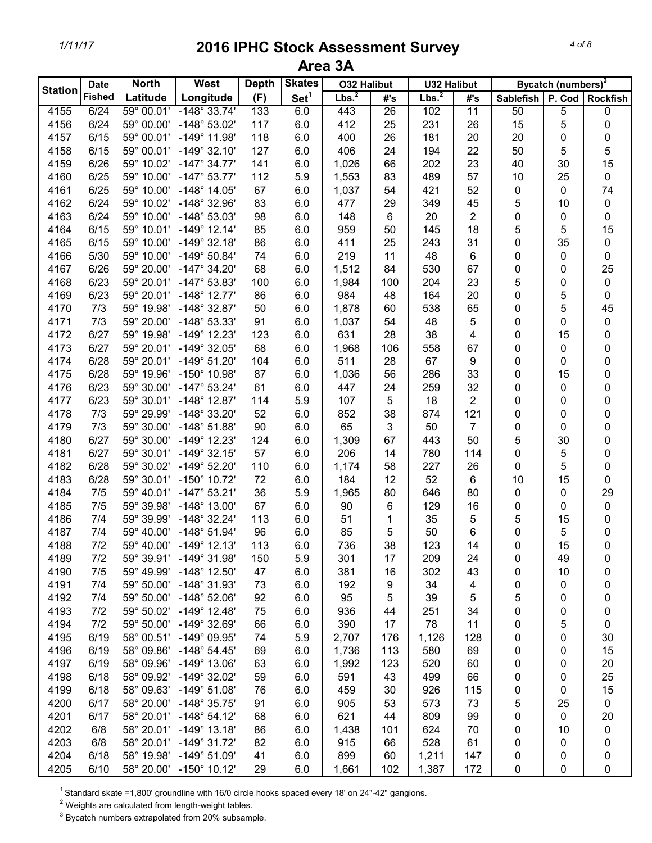*4 of 8*

|                | <b>Date</b>   | <b>North</b> | West                    | <b>Depth</b> | <b>Skates</b>    | <b>O32 Halibut</b> |     | <b>U32 Halibut</b> |                         |                           | Bycatch (numbers) <sup>3</sup> |           |
|----------------|---------------|--------------|-------------------------|--------------|------------------|--------------------|-----|--------------------|-------------------------|---------------------------|--------------------------------|-----------|
| <b>Station</b> | <b>Fished</b> | Latitude     | Longitude               | (F)          | Set <sup>1</sup> | Lbs. <sup>2</sup>  | #'s | Lbs. <sup>2</sup>  | #'s                     | Sablefish P. Cod Rockfish |                                |           |
| 4155           | 6/24          | 59° 00.01'   | $-148^\circ 33.74'$     | 133          | 6.0              | 443                | 26  | 102                | 11                      | 50                        | 5                              | 0         |
| 4156           | 6/24          | 59° 00.00'   | $-148^{\circ}$ 53.02'   | 117          | 6.0              | 412                | 25  | 231                | 26                      | 15                        | 5                              | 0         |
| 4157           | 6/15          | 59° 00.01'   | $-149°$ 11.98'          | 118          | 6.0              | 400                | 26  | 181                | 20                      | 20                        | 0                              | 0         |
| 4158           | 6/15          | 59° 00.01'   | $-149°32.10'$           | 127          | 6.0              | 406                | 24  | 194                | 22                      | 50                        | 5                              | 5         |
| 4159           | 6/26          | 59° 10.02'   | $-147^{\circ}$ 34.77'   | 141          | 6.0              | 1,026              | 66  | 202                | 23                      | 40                        | 30                             | 15        |
| 4160           | 6/25          | 59° 10.00'   | $-147^{\circ}$ 53.77'   | 112          | 5.9              | 1,553              | 83  | 489                | 57                      | 10                        | 25                             | $\pmb{0}$ |
| 4161           | 6/25          | 59° 10.00'   | $-148^\circ$ 14.05'     | 67           | 6.0              | 1,037              | 54  | 421                | 52                      | 0                         | 0                              | 74        |
| 4162           | 6/24          | 59° 10.02'   | -148° 32.96'            | 83           | 6.0              | 477                | 29  | 349                | 45                      | 5                         | 10                             | $\pmb{0}$ |
| 4163           | 6/24          | 59° 10.00'   | $-148°53.03'$           | 98           | 6.0              | 148                | 6   | 20                 | $\overline{2}$          | 0                         | 0                              | 0         |
| 4164           | 6/15          | 59° 10.01'   | $-149°$ 12.14'          | 85           | 6.0              | 959                | 50  | 145                | 18                      | 5                         | 5                              | 15        |
| 4165           | 6/15          | 59° 10.00'   | $-149°32.18'$           | 86           | 6.0              | 411                | 25  | 243                | 31                      | 0                         | 35                             | $\pmb{0}$ |
| 4166           | 5/30          | 59° 10.00'   | $-149^{\circ}$ 50.84'   | 74           | 6.0              | 219                | 11  | 48                 | 6                       | 0                         | 0                              | 0         |
| 4167           | 6/26          | 59° 20.00'   | $-147^{\circ}$ 34.20'   | 68           | 6.0              | 1,512              | 84  | 530                | 67                      | 0                         | 0                              | 25        |
| 4168           | 6/23          | 59° 20.01'   | $-147^{\circ}$ 53.83'   | 100          | 6.0              | 1,984              | 100 | 204                | 23                      | 5                         | 0                              | $\pmb{0}$ |
| 4169           | 6/23          | 59° 20.01'   | $-148^\circ$ 12.77'     | 86           | 6.0              | 984                | 48  | 164                | 20                      | 0                         | 5                              | $\pmb{0}$ |
| 4170           | 7/3           | 59° 19.98'   | $-148^\circ$ 32.87'     | 50           | 6.0              | 1,878              | 60  | 538                | 65                      | 0                         | 5                              | 45        |
| 4171           | 7/3           | 59° 20.00'   | -148° 53.33'            | 91           | 6.0              | 1,037              | 54  | 48                 | 5                       | 0                         | 0                              | $\pmb{0}$ |
| 4172           | 6/27          | 59° 19.98'   | $-149°$ 12.23'          | 123          | 6.0              | 631                | 28  | 38                 | $\overline{\mathbf{4}}$ | 0                         | 15                             | 0         |
| 4173           | 6/27          | 59° 20.01'   | $-149^{\circ}$ 32.05'   | 68           | 6.0              | 1,968              | 106 | 558                | 67                      | 0                         | 0                              | 0         |
| 4174           | 6/28          | 59° 20.01'   | $-149°51.20'$           | 104          | 6.0              | 511                | 28  | 67                 | 9                       | 0                         | 0                              | 0         |
| 4175           | 6/28          | 59° 19.96'   | $-150^{\circ}$ 10.98'   | 87           | 6.0              | 1,036              | 56  | 286                | 33                      | 0                         | 15                             | 0         |
| 4176           | 6/23          | 59° 30.00'   | $-147^{\circ}$ 53.24'   | 61           | 6.0              | 447                | 24  | 259                | 32                      | 0                         | 0                              | 0         |
| 4177           | 6/23          | 59° 30.01'   | $-148^\circ$ 12.87'     | 114          | 5.9              | 107                | 5   | 18                 | $\overline{2}$          | 0                         | 0                              | 0         |
| 4178           | 7/3           | 59° 29.99'   | $-148^\circ$ 33.20'     | 52           | 6.0              | 852                | 38  | 874                | 121                     | 0                         | 0                              | 0         |
| 4179           | 7/3           | 59° 30.00'   | $-148°51.88'$           | 90           | 6.0              | 65                 | 3   | 50                 | $\overline{7}$          | 0                         | 0                              | 0         |
| 4180           | 6/27          | 59° 30.00'   | $-149°$ 12.23'          | 124          | 6.0              | 1,309              | 67  | 443                | 50                      | 5                         | 30                             | 0         |
| 4181           | 6/27          | 59° 30.01'   | $-149°32.15'$           | 57           | 6.0              | 206                | 14  | 780                | 114                     | 0                         | 5                              | 0         |
| 4182           | 6/28          | 59° 30.02'   | $-149^{\circ}$ 52.20'   | 110          | 6.0              | 1,174              | 58  | 227                | 26                      | 0                         | 5                              | 0         |
| 4183           | 6/28          | 59° 30.01'   | $-150^{\circ}$ 10.72'   | 72           | 6.0              | 184                | 12  | 52                 | 6                       | 10                        | 15                             | 0         |
| 4184           | 7/5           | 59° 40.01'   | $-147^{\circ}53.21'$    | 36           | 5.9              | 1,965              | 80  | 646                | 80                      | 0                         | 0                              | 29        |
| 4185           | 7/5           | 59° 39.98'   | $-148^\circ$ 13.00'     | 67           | 6.0              | 90                 | 6   | 129                | 16                      | 0                         | 0                              | $\pmb{0}$ |
| 4186           | 7/4           | 59° 39.99'   | $-148^\circ$ 32.24'     | 113          | 6.0              | 51                 | 1   | 35                 | 5                       | 5                         | 15                             | 0         |
| 4187           | 7/4           | 59° 40.00'   | $-148°51.94'$           | 96           | 6.0              | 85                 | 5   | 50                 | 6                       | 0                         | 5                              | 0         |
| 4188           | 7/2           | 59° 40.00'   | $-149°$ 12.13'          | 113          | 6.0              | 736                | 38  | 123                | 14                      | 0                         | 15                             | 0         |
| 4189           | 7/2           | 59° 39.91'   | $-149°31.98'$           | 150          | 5.9              | 301                | 17  | 209                | 24                      | 0                         | 49                             | 0         |
| 4190           | 7/5           | 59° 49.99'   | $-148^\circ$ 12.50'     | 47           | 6.0              | 381                | 16  | 302                | 43                      | 0                         | 10                             | 0         |
| 4191           | 7/4           | 59° 50.00'   | -148° 31.93'            | 73           | 6.0              | 192                | 9   | 34                 | 4                       | 0                         | 0                              | 0         |
| 4192           | 7/4           | 59° 50.00'   | $-148^{\circ}$ 52.06'   | 92           | 6.0              | 95                 | 5   | 39                 | 5                       | 5                         | 0                              | 0         |
| 4193           | 7/2           | 59° 50.02'   | $-149^{\circ}$ 12.48'   | 75           | 6.0              | 936                | 44  | 251                | 34                      | 0                         | 0                              | 0         |
| 4194           | 7/2           | 59° 50.00'   | $-149^{\circ}$ 32.69'   | 66           | 6.0              | 390                | 17  | 78                 | 11                      | 0                         | 5                              | 0         |
| 4195           | 6/19          | 58° 00.51'   | $-149°09.95'$           | 74           | 5.9              | 2,707              | 176 | 1,126              | 128                     | 0                         | 0                              | 30        |
| 4196           | 6/19          |              | 58° 09.86' -148° 54.45' | 69           | 6.0              | 1,736              | 113 | 580                | 69                      | 0                         | 0                              | 15        |
| 4197           | 6/19          |              | 58° 09.96' -149° 13.06' | 63           | 6.0              | 1,992              | 123 | 520                | 60                      | 0                         | 0                              | 20        |
| 4198           | 6/18          | 58° 09.92'   | $-149^{\circ}$ 32.02'   | 59           | 6.0              | 591                | 43  | 499                | 66                      | 0                         | 0                              | 25        |
| 4199           | 6/18          |              | 58° 09.63' -149° 51.08' | 76           | 6.0              | 459                | 30  | 926                | 115                     | 0                         | 0                              | 15        |
| 4200           | 6/17          | 58° 20.00'   | $-148^{\circ}$ 35.75'   | 91           | 6.0              | 905                | 53  | 573                | 73                      | 5                         | 25                             | $\pmb{0}$ |
| 4201           | 6/17          |              | 58° 20.01' -148° 54.12' | 68           | 6.0              | 621                | 44  | 809                | 99                      | 0                         | 0                              | 20        |
| 4202           | 6/8           | 58° 20.01'   | $-149°$ 13.18'          | 86           | 6.0              | 1,438              | 101 | 624                | 70                      | 0                         | 10                             | 0         |
| 4203           | 6/8           | 58° 20.01'   | $-149°31.72'$           | 82           | 6.0              | 915                | 66  | 528                | 61                      | 0                         | 0                              | 0         |
| 4204           | 6/18          | 58° 19.98'   | $-149^{\circ}$ 51.09'   | 41           | 6.0              | 899                | 60  | 1,211              | 147                     | 0                         | 0                              | 0         |
| 4205           | 6/10          |              | 58° 20.00' -150° 10.12' | 29           | 6.0              | 1,661              | 102 | 1,387              | 172                     | 0                         | 0                              | 0         |

<sup>1</sup> Standard skate =1,800' groundline with 16/0 circle hooks spaced every 18' on 24"-42" gangions.

 $2$  Weights are calculated from length-weight tables.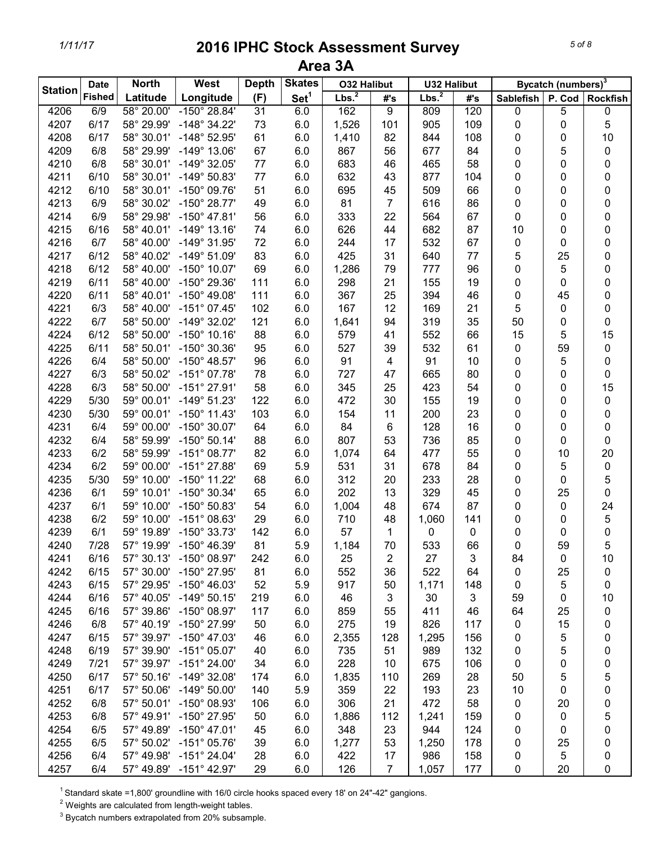|                | <b>Date</b>   | <b>North</b>        | West                    | <b>Depth</b> | <b>Skates</b>    | <b>O32 Halibut</b> |                | <b>U32 Halibut</b> |     |                  | Bycatch (numbers) <sup>3</sup> |                 |
|----------------|---------------|---------------------|-------------------------|--------------|------------------|--------------------|----------------|--------------------|-----|------------------|--------------------------------|-----------------|
| <b>Station</b> | <b>Fished</b> | Latitude            | Longitude               | (F)          | Set <sup>1</sup> | Lbs. <sup>2</sup>  | #'s            | Lbs. <sup>2</sup>  | #'s | <b>Sablefish</b> | P. Cod                         | <b>Rockfish</b> |
| 4206           | 6/9           | 58° 20.00'          | $-150^{\circ} 28.84'$   | 31           | 6.0              | 162                | 9              | 809                | 120 | 0                | 5                              | 0               |
| 4207           | 6/17          | 58° 29.99'          | $-148^\circ$ 34.22'     | 73           | 6.0              | 1,526              | 101            | 905                | 109 | $\pmb{0}$        | 0                              | 5               |
| 4208           | 6/17          | 58° 30.01'          | $-148^{\circ}$ 52.95'   | 61           | 6.0              | 1,410              | 82             | 844                | 108 | 0                | 0                              | 10              |
| 4209           | 6/8           | 58° 29.99'          | $-149°$ 13.06'          | 67           | 6.0              | 867                | 56             | 677                | 84  | 0                | 5                              | $\pmb{0}$       |
| 4210           | 6/8           | 58° 30.01'          | $-149°32.05'$           | 77           | 6.0              | 683                | 46             | 465                | 58  | 0                | 0                              | 0               |
| 4211           | 6/10          | 58° 30.01'          | $-149°50.83'$           | 77           | 6.0              | 632                | 43             | 877                | 104 | 0                | 0                              | 0               |
| 4212           | 6/10          | 58° 30.01'          | $-150^{\circ}$ 09.76'   | 51           | 6.0              | 695                | 45             | 509                | 66  | 0                | 0                              | 0               |
| 4213           | 6/9           | 58° 30.02'          | $-150^{\circ}$ 28.77'   | 49           | 6.0              | 81                 | $\overline{7}$ | 616                | 86  | 0                | 0                              | 0               |
| 4214           | 6/9           | 58° 29.98'          | $-150^{\circ}$ 47.81'   | 56           | 6.0              | 333                | 22             | 564                | 67  | 0                | 0                              | 0               |
| 4215           | 6/16          | 58° 40.01'          | $-149°$ 13.16'          | 74           | 6.0              | 626                | 44             | 682                | 87  | 10               | 0                              | 0               |
| 4216           | 6/7           | 58° 40.00'          | $-149°31.95'$           | 72           | 6.0              | 244                | 17             | 532                | 67  | $\pmb{0}$        | 0                              | 0               |
| 4217           | 6/12          | 58° 40.02'          | $-149°51.09'$           | 83           | 6.0              | 425                | 31             | 640                | 77  | 5                | 25                             | 0               |
|                | 6/12          | 58° 40.00'          | $-150^{\circ}$ 10.07'   | 69           | 6.0              |                    | 79             | 777                | 96  | 0                | 5                              | 0               |
| 4218           |               |                     |                         |              |                  | 1,286              |                |                    |     |                  |                                |                 |
| 4219           | 6/11          | 58° 40.00'          | -150° 29.36'            | 111          | 6.0              | 298                | 21             | 155                | 19  | 0                | 0                              | 0               |
| 4220           | 6/11          | 58° 40.01'          | $-150^{\circ}$ 49.08'   | 111          | 6.0              | 367                | 25             | 394                | 46  | 0                | 45                             | 0               |
| 4221           | 6/3           | 58° 40.00'          | $-151^{\circ}$ 07.45'   | 102          | 6.0              | 167                | 12             | 169                | 21  | 5                | 0                              | 0               |
| 4222           | 6/7           | 58° 50.00'          | $-149°32.02'$           | 121          | 6.0              | 1,641              | 94             | 319                | 35  | 50               | 0                              | 0               |
| 4224           | 6/12          | 58° 50.00'          | $-150^{\circ}$ 10.16'   | 88           | 6.0              | 579                | 41             | 552                | 66  | 15               | 5                              | 15              |
| 4225           | 6/11          | 58° 50.01'          | -150° 30.36'            | 95           | 6.0              | 527                | 39             | 532                | 61  | $\pmb{0}$        | 59                             | $\pmb{0}$       |
| 4226           | 6/4           | 58° 50.00'          | $-150^{\circ}$ 48.57'   | 96           | 6.0              | 91                 | 4              | 91                 | 10  | 0                | 5                              | 0               |
| 4227           | 6/3           | 58° 50.02'          | $-151^{\circ}$ 07.78'   | 78           | 6.0              | 727                | 47             | 665                | 80  | 0                | 0                              | 0               |
| 4228           | 6/3           | 58° 50.00'          | $-151^{\circ}$ 27.91'   | 58           | 6.0              | 345                | 25             | 423                | 54  | 0                | 0                              | 15              |
| 4229           | 5/30          | 59° 00.01'          | $-149°51.23'$           | 122          | 6.0              | 472                | 30             | 155                | 19  | 0                | 0                              | 0               |
| 4230           | 5/30          | 59° 00.01'          | $-150^{\circ}$ 11.43'   | 103          | 6.0              | 154                | 11             | 200                | 23  | 0                | 0                              | 0               |
| 4231           | 6/4           | 59° 00.00'          | $-150^{\circ}$ 30.07'   | 64           | 6.0              | 84                 | 6              | 128                | 16  | 0                | 0                              | 0               |
| 4232           | 6/4           | 58° 59.99'          | $-150^{\circ} 50.14'$   | 88           | 6.0              | 807                | 53             | 736                | 85  | 0                | 0                              | 0               |
| 4233           | 6/2           | 58° 59.99'          | $-151^{\circ}$ 08.77'   | 82           | 6.0              | 1,074              | 64             | 477                | 55  | 0                | 10                             | 20              |
| 4234           | 6/2           | 59° 00.00'          | $-151^{\circ}$ 27.88'   | 69           | 5.9              | 531                | 31             | 678                | 84  | 0                | 5                              | 0               |
| 4235           | 5/30          | 59° 10.00'          | $-150^{\circ}$ 11.22'   | 68           | 6.0              | 312                | 20             | 233                | 28  | 0                | 0                              | 5               |
| 4236           | 6/1           | 59° 10.01'          | $-150^{\circ}$ 30.34'   | 65           | 6.0              | 202                | 13             | 329                | 45  | 0                | 25                             | 0               |
| 4237           | 6/1           | 59° 10.00'          | $-150^{\circ} 50.83'$   | 54           | 6.0              | 1,004              | 48             | 674                | 87  | 0                | 0                              | 24              |
| 4238           | 6/2           | 59° 10.00'          | $-151^{\circ}$ 08.63'   | 29           | 6.0              | 710                | 48             | 1,060              | 141 | 0                | 0                              | 5               |
| 4239           | 6/1           | 59° 19.89'          | $-150^{\circ}$ 33.73'   | 142          | 6.0              | 57                 | 1              | 0                  | 0   | 0                | 0                              | 0               |
| 4240           | 7/28          |                     | 57° 19.99' -150° 46.39' | 81           | 5.9              | 1,184              | 70             | 533                | 66  | $\mathbf 0$      | 59                             | 5               |
| 4241           | 6/16          |                     | 57° 30.13' -150° 08.97' | 242          | 6.0              | 25                 | 2              | 27                 | 3   | 84               | 0                              | 10              |
| 4242           | 6/15          | 57° 30.00'          | -150° 27.95'            | 81           | 6.0              | 552                | 36             | 522                | 64  | $\mathbf 0$      | 25                             | 0               |
| 4243           | 6/15          | 57° 29.95'          | $-150^{\circ}$ 46.03'   | 52           | 5.9              | 917                | 50             | 1,171              | 148 | 0                | 5                              | 0               |
| 4244           | 6/16          | 57° 40.05'          | $-149°50.15'$           | 219          | 6.0              | 46                 | 3              | 30                 | 3   | 59               | 0                              | 10              |
| 4245           | 6/16          |                     | 57° 39.86' -150° 08.97' | 117          | 6.0              | 859                | 55             | 411                | 46  | 64               | 25                             | 0               |
| 4246           | 6/8           | 57° 40.19'          | $-150^{\circ}$ 27.99'   | 50           | 6.0              | 275                | 19             | 826                | 117 | 0                | 15                             | 0               |
| 4247           | 6/15          | 57° 39.97'          | $-150^{\circ}$ 47.03'   | 46           | 6.0              | 2,355              | 128            | 1,295              | 156 | 0                | 5                              | 0               |
| 4248           | 6/19          | 57° 39.90'          | $-151^{\circ}$ 05.07'   | 40           | 6.0              | 735                | 51             | 989                | 132 | 0                | 5                              | 0               |
| 4249           | 7/21          | 57° 39.97'          | $-151^{\circ} 24.00'$   | 34           | 6.0              | 228                | 10             | 675                | 106 | $\pmb{0}$        | 0                              | 0               |
| 4250           | 6/17          | $57^{\circ}$ 50.16' | $-149^{\circ}$ 32.08'   | 174          | 6.0              | 1,835              | 110            | 269                | 28  | 50               | 5                              | 5               |
| 4251           | 6/17          | 57° 50.06'          | $-149^{\circ}$ 50.00'   | 140          | 5.9              | 359                | 22             | 193                | 23  | 10               | 0                              | 0               |
| 4252           | 6/8           | 57° 50.01'          | $-150^{\circ}$ 08.93'   | 106          | 6.0              | 306                | 21             | 472                | 58  | 0                | 20                             | 0               |
| 4253           | 6/8           | 57° 49.91'          | -150° 27.95'            | 50           | 6.0              | 1,886              | 112            | 1,241              | 159 | 0                | 0                              | 5               |
| 4254           | 6/5           | 57° 49.89'          | $-150^{\circ}$ 47.01'   | 45           | 6.0              | 348                | 23             | 944                | 124 |                  |                                |                 |
|                |               |                     |                         |              |                  |                    |                |                    |     | 0                | 0                              | 0               |
| 4255           | 6/5           | 57° 50.02'          | $-151^{\circ}$ 05.76'   | 39           | 6.0              | 1,277              | 53             | 1,250              | 178 | 0                | 25                             | 0               |
| 4256           | 6/4           | 57° 49.98'          | $-151^{\circ}$ 24.04'   | 28           | 6.0              | 422                | 17             | 986                | 158 | 0                | 5                              | 0               |
| 4257           | 6/4           |                     | 57° 49.89' -151° 42.97' | 29           | 6.0              | 126                | $\overline{7}$ | 1,057              | 177 | $\pmb{0}$        | 20                             | 0               |

<sup>1</sup> Standard skate =1,800' groundline with 16/0 circle hooks spaced every 18' on 24"-42" gangions.

 $2$  Weights are calculated from length-weight tables.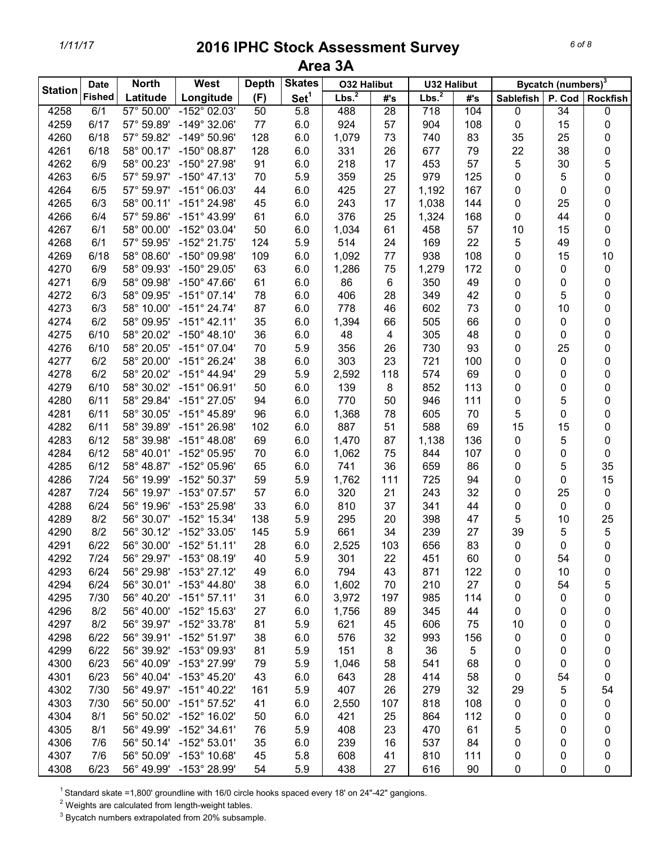|                | <b>Date</b>   | <b>North</b> | West                    | <b>Depth</b> | <b>Skates</b>    | <b>O32 Halibut</b> |                 | <b>U32 Halibut</b> |     |                  | Bycatch (numbers) <sup>3</sup> |                 |
|----------------|---------------|--------------|-------------------------|--------------|------------------|--------------------|-----------------|--------------------|-----|------------------|--------------------------------|-----------------|
| <b>Station</b> | <b>Fished</b> | Latitude     | Longitude               | (F)          | Set <sup>1</sup> | Lbs. <sup>2</sup>  | #'s             | Lbs. <sup>2</sup>  | #'s | <b>Sablefish</b> | P. Cod                         | <b>Rockfish</b> |
| 4258           | 6/1           | 57° 50.00'   | $-152^{\circ}$ 02.03'   | 50           | $\overline{5.8}$ | 488                | $\overline{28}$ | $\overline{718}$   | 104 | $\pmb{0}$        | 34                             | 0               |
| 4259           | 6/17          | 57° 59.89'   | $-149^{\circ}$ 32.06'   | 77           | 6.0              | 924                | 57              | 904                | 108 | $\pmb{0}$        | 15                             | 0               |
| 4260           | 6/18          | 57° 59.82'   | $-149°50.96'$           | 128          | 6.0              | 1,079              | 73              | 740                | 83  | 35               | 25                             | 0               |
| 4261           | 6/18          | 58° 00.17'   | $-150^{\circ}$ 08.87'   | 128          | 6.0              | 331                | 26              | 677                | 79  | 22               | 38                             | 0               |
| 4262           | 6/9           | 58° 00.23'   | -150° 27.98'            | 91           | 6.0              | 218                | 17              | 453                | 57  | 5                | 30                             | 5               |
| 4263           | 6/5           | 57° 59.97'   | $-150^{\circ}$ 47.13'   | 70           | 5.9              | 359                | 25              | 979                | 125 | 0                | 5                              | 0               |
| 4264           | 6/5           | 57° 59.97'   | $-151^{\circ}$ 06.03'   | 44           | 6.0              | 425                | 27              | 1,192              | 167 | 0                | 0                              | 0               |
| 4265           | 6/3           | 58° 00.11'   | -151° 24.98'            | 45           | 6.0              | 243                | 17              | 1,038              | 144 | 0                | 25                             | 0               |
| 4266           | 6/4           | 57° 59.86'   | $-151^{\circ}$ 43.99'   | 61           | 6.0              | 376                | 25              | 1,324              | 168 | $\mathbf 0$      | 44                             | 0               |
| 4267           | 6/1           | 58° 00.00'   | -152° 03.04'            | 50           | 6.0              | 1,034              | 61              | 458                | 57  | 10               | 15                             | 0               |
| 4268           | 6/1           | 57° 59.95'   | $-152^{\circ}$ 21.75'   | 124          | 5.9              | 514                | 24              | 169                | 22  | 5                | 49                             | 0               |
| 4269           | 6/18          | 58° 08.60'   | -150° 09.98'            | 109          | 6.0              | 1,092              | 77              | 938                | 108 | $\pmb{0}$        | 15                             | 10              |
|                |               | 58° 09.93'   | -150° 29.05'            | 63           |                  |                    | 75              |                    | 172 |                  |                                |                 |
| 4270           | 6/9<br>6/9    |              | $-150^{\circ}$ 47.66'   |              | 6.0              | 1,286              |                 | 1,279              |     | 0                | 0                              | 0               |
| 4271           |               | 58° 09.98'   |                         | 61           | 6.0              | 86                 | 6               | 350                | 49  | 0                | 0                              | 0               |
| 4272           | 6/3           | 58° 09.95'   | $-151^{\circ}$ 07.14'   | 78           | 6.0              | 406                | 28              | 349                | 42  | 0                | 5                              | 0               |
| 4273           | 6/3           | 58° 10.00'   | $-151^{\circ}$ 24.74'   | 87           | 6.0              | 778                | 46              | 602                | 73  | 0                | 10                             | 0               |
| 4274           | 6/2           | 58° 09.95'   | $-151^{\circ}$ 42.11'   | 35           | 6.0              | 1,394              | 66              | 505                | 66  | 0                | 0                              | 0               |
| 4275           | 6/10          | 58° 20.02'   | $-150^{\circ}$ 48.10'   | 36           | 6.0              | 48                 | 4               | 305                | 48  | 0                | 0                              | 0               |
| 4276           | 6/10          | 58° 20.05'   | $-151^{\circ}$ 07.04'   | 70           | 5.9              | 356                | 26              | 730                | 93  | 0                | 25                             | 0               |
| 4277           | 6/2           | 58° 20.00'   | $-151^{\circ} 26.24'$   | 38           | 6.0              | 303                | 23              | 721                | 100 | 0                | 0                              | 0               |
| 4278           | 6/2           | 58° 20.02'   | $-151^{\circ}$ 44.94'   | 29           | 5.9              | 2,592              | 118             | 574                | 69  | 0                | 0                              | 0               |
| 4279           | 6/10          | 58° 30.02'   | $-151^{\circ}$ 06.91'   | 50           | 6.0              | 139                | 8               | 852                | 113 | 0                | 0                              | 0               |
| 4280           | 6/11          | 58° 29.84'   | $-151^{\circ}$ 27.05'   | 94           | 6.0              | 770                | 50              | 946                | 111 | 0                | 5                              | 0               |
| 4281           | 6/11          | 58° 30.05'   | $-151^{\circ}$ 45.89'   | 96           | 6.0              | 1,368              | 78              | 605                | 70  | 5                | 0                              | 0               |
| 4282           | 6/11          | 58° 39.89'   | $-151^{\circ} 26.98'$   | 102          | 6.0              | 887                | 51              | 588                | 69  | 15               | 15                             | 0               |
| 4283           | 6/12          | 58° 39.98'   | $-151^{\circ}$ 48.08'   | 69           | 6.0              | 1,470              | 87              | 1,138              | 136 | 0                | 5                              | 0               |
| 4284           | 6/12          | 58° 40.01'   | -152° 05.95'            | 70           | 6.0              | 1,062              | 75              | 844                | 107 | 0                | 0                              | 0               |
| 4285           | 6/12          | 58° 48.87'   | -152° 05.96'            | 65           | 6.0              | 741                | 36              | 659                | 86  | 0                | 5                              | 35              |
| 4286           | 7/24          | 56° 19.99'   | $-152^{\circ}50.37'$    | 59           | 5.9              | 1,762              | 111             | 725                | 94  | 0                | 0                              | 15              |
| 4287           | 7/24          | 56° 19.97'   | $-153^{\circ}$ 07.57'   | 57           | 6.0              | 320                | 21              | 243                | 32  | 0                | 25                             | $\pmb{0}$       |
| 4288           | 6/24          | 56° 19.96'   | -153° 25.98'            | 33           | 6.0              | 810                | 37              | 341                | 44  | 0                | 0                              | $\pmb{0}$       |
| 4289           | 8/2           | 56° 30.07'   | -152° 15.34'            | 138          | 5.9              | 295                | 20              | 398                | 47  | 5                | 10                             | 25              |
| 4290           | 8/2           | 56° 30.12'   | -152° 33.05'            | 145          | 5.9              | 661                | 34              | 239                | 27  | 39               | 5                              | 5               |
| 4291           | 6/22          |              | 56° 30.00' -152° 51.11' | 28           | 6.0              | 2.525              | 103             | 656                | 83  | $\mathbf 0$      | $\mathbf 0$                    | $\mathbf 0$     |
| 4292           | 7/24          |              | 56° 29.97' -153° 08.19' | 40           | 5.9              | 301                | 22              | 451                | 60  | 0                | 54                             | 0               |
| 4293           | 6/24          | 56° 29.98'   | $-153^{\circ}$ 27.12'   | 49           | 6.0              | 794                | 43              | 871                | 122 | 0                | 10                             | 0               |
| 4294           | 6/24          |              | 56° 30.01' -153° 44.80' | 38           | 6.0              | 1,602              | 70              | 210                | 27  | 0                | 54                             | 5               |
| 4295           | 7/30          |              | 56° 40.20' -151° 57.11' | 31           | 6.0              | 3,972              | 197             | 985                | 114 | 0                | 0                              | 0               |
| 4296           | 8/2           |              | 56° 40.00' -152° 15.63' | 27           | 6.0              | 1,756              | 89              | 345                | 44  | 0                | 0                              | 0               |
| 4297           | 8/2           |              | 56° 39.97' -152° 33.78' | 81           | 5.9              | 621                | 45              | 606                | 75  | 10               | 0                              | 0               |
| 4298           | 6/22          |              | 56° 39.91' -152° 51.97' | 38           | 6.0              | 576                | 32              | 993                | 156 | 0                | 0                              | 0               |
| 4299           | 6/22          | 56° 39.92'   | -153° 09.93'            | 81           | 5.9              | 151                | 8               | 36                 | 5   | 0                | 0                              | 0               |
| 4300           | 6/23          | 56° 40.09'   | -153° 27.99'            | 79           | 5.9              | 1,046              | 58              | 541                | 68  | 0                | 0                              | 0               |
| 4301           | 6/23          | 56° 40.04'   | $-153^{\circ}$ 45.20'   | 43           | 6.0              | 643                | 28              | 414                | 58  | 0                | 54                             | 0               |
| 4302           | 7/30          | 56° 49.97'   | $-151^{\circ}$ 40.22'   | 161          | 5.9              | 407                | 26              | 279                | 32  | 29               | 5                              | 54              |
| 4303           | 7/30          | 56° 50.00'   | $-151^{\circ}57.52'$    | 41           | 6.0              | 2,550              | 107             | 818                | 108 | 0                | 0                              | 0               |
| 4304           | 8/1           | 56° 50.02'   | $-152^{\circ}$ 16.02'   | 50           | 6.0              | 421                | 25              | 864                | 112 | 0                | 0                              | 0               |
| 4305           | 8/1           | 56° 49.99'   | $-152^{\circ}$ 34.61'   | 76           | 5.9              | 408                | 23              | 470                | 61  | 5                | 0                              | 0               |
| 4306           | 7/6           | 56° 50.14'   | $-152^{\circ} 53.01'$   | 35           | 6.0              | 239                | 16              | 537                | 84  | 0                | 0                              | 0               |
| 4307           | 7/6           | 56° 50.09'   | $-153^{\circ}$ 10.68'   | 45           | 5.8              | 608                | 41              | 810                | 111 | 0                | 0                              | 0               |
| 4308           | 6/23          |              | 56° 49.99' -153° 28.99' | 54           | 5.9              | 438                | 27              | 616                | 90  | 0                | 0                              | 0               |
|                |               |              |                         |              |                  |                    |                 |                    |     |                  |                                |                 |

<sup>1</sup> Standard skate =1,800' groundline with 16/0 circle hooks spaced every 18' on 24"-42" gangions.

 $2$  Weights are calculated from length-weight tables.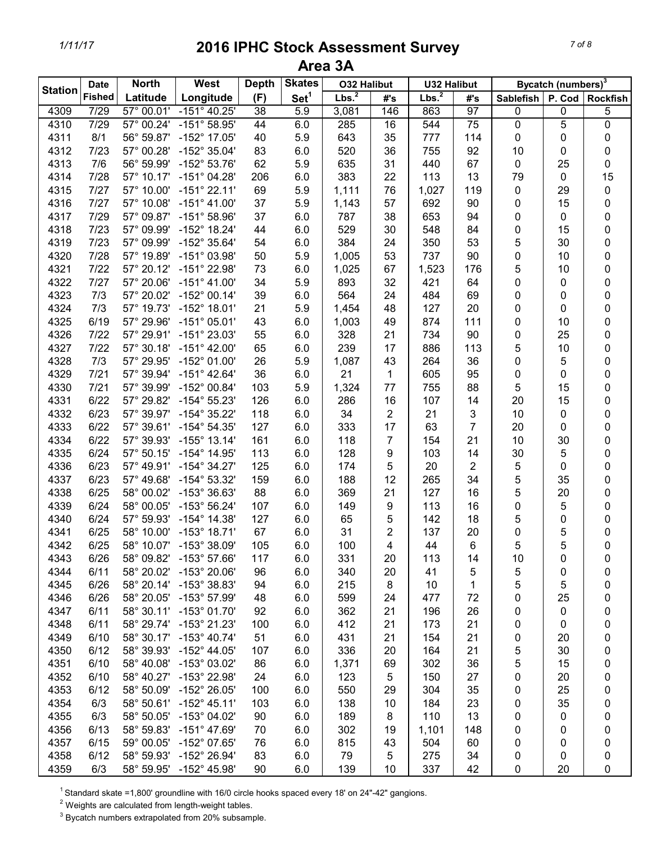| <b>Station</b> | <b>Date</b>   | <b>North</b>        | West                    | <b>Depth</b>    | <b>Skates</b>    | <b>O32 Halibut</b> |                | <b>U32 Halibut</b> |                 |                  | Bycatch (numbers) <sup>3</sup> |                 |
|----------------|---------------|---------------------|-------------------------|-----------------|------------------|--------------------|----------------|--------------------|-----------------|------------------|--------------------------------|-----------------|
|                | <b>Fished</b> | Latitude            | Longitude               | (F)             | Set <sup>1</sup> | Lbs. <sup>2</sup>  | #'s            | Lbs. <sup>2</sup>  | #'s             | <b>Sablefish</b> | P. Cod                         | <b>Rockfish</b> |
| 4309           | 7/29          | 57° 00.01'          | $-151^{\circ}$ 40.25'   | $\overline{38}$ | 5.9              | 3,081              | 146            | 863                | 97              | $\pmb{0}$        | 0                              | 5               |
| 4310           | 7/29          | $57^{\circ}$ 00.24' | $-151^{\circ} 58.95'$   | 44              | 6.0              | 285                | 16             | 544                | $\overline{75}$ | $\overline{0}$   | 5                              | $\overline{0}$  |
| 4311           | 8/1           |                     | 56° 59.87' -152° 17.05' | 40              | 5.9              | 643                | 35             | 777                | 114             | $\pmb{0}$        | 0                              | 0               |
| 4312           | 7/23          | 57° 00.28'          | -152° 35.04'            | 83              | 6.0              | 520                | 36             | 755                | 92              | 10               | 0                              | 0               |
| 4313           | 7/6           | 56° 59.99'          | -152° 53.76'            | 62              | 5.9              | 635                | 31             | 440                | 67              | $\pmb{0}$        | 25                             | 0               |
| 4314           | 7/28          | 57° 10.17'          | $-151^{\circ}$ 04.28'   | 206             | 6.0              | 383                | 22             | 113                | 13              | 79               | 0                              | 15              |
| 4315           | 7/27          | 57° 10.00'          | $-151^{\circ}$ 22.11'   | 69              | 5.9              | 1,111              | 76             | 1,027              | 119             | 0                | 29                             | 0               |
| 4316           | $7/27$        | 57° 10.08'          | $-151^{\circ}$ 41.00'   | 37              | 5.9              | 1,143              | 57             | 692                | 90              | 0                | 15                             | 0               |
| 4317           | 7/29          | 57° 09.87'          | $-151^{\circ}58.96'$    | 37              | 6.0              | 787                | 38             | 653                | 94              | 0                | 0                              | 0               |
| 4318           | 7/23          | 57° 09.99'          | $-152^{\circ}$ 18.24'   | 44              | 6.0              | 529                | 30             | 548                | 84              | 0                | 15                             | 0               |
| 4319           | 7/23          | 57° 09.99'          | -152° 35.64'            | 54              | 6.0              | 384                | 24             | 350                | 53              | 5                | 30                             | 0               |
| 4320           | 7/28          | 57° 19.89'          | $-151^{\circ}$ 03.98'   | 50              | 5.9              | 1,005              | 53             | 737                | 90              | 0                | 10                             | 0               |
| 4321           | 7/22          | 57° 20.12'          | -151° 22.98'            | 73              | 6.0              | 1,025              | 67             | 1,523              | 176             | 5                | 10                             | 0               |
| 4322           | 7/27          | 57° 20.06'          | $-151^{\circ}$ 41.00'   | 34              | 5.9              | 893                | 32             | 421                | 64              | 0                | 0                              | 0               |
| 4323           | 7/3           | 57° 20.02'          | $-152^{\circ}$ 00.14'   | 39              | 6.0              | 564                | 24             | 484                | 69              | 0                | 0                              | 0               |
| 4324           | 7/3           | 57° 19.73'          | $-152^{\circ}$ 18.01'   | 21              | 5.9              | 1,454              | 48             | 127                | 20              | 0                | 0                              | 0               |
| 4325           | 6/19          | 57° 29.96'          | $-151^{\circ}$ 05.01'   | 43              | 6.0              | 1,003              | 49             | 874                | 111             | 0                | 10                             | 0               |
| 4326           | 7/22          |                     | 57° 29.91' -151° 23.03' | 55              | 6.0              | 328                | 21             | 734                | 90              | 0                | 25                             | 0               |
| 4327           | 7/22          |                     | 57° 30.18' -151° 42.00' | 65              | 6.0              | 239                | 17             | 886                | 113             | 5                | 10                             | 0               |
| 4328           | 7/3           | 57° 29.95'          | $-152^{\circ}$ 01.00'   | 26              | 5.9              | 1,087              | 43             | 264                | 36              | 0                | 5                              | 0               |
| 4329           | $7/21$        | 57° 39.94'          | $-151^{\circ}$ 42.64'   | 36              | 6.0              | 21                 | 1              | 605                | 95              | 0                | 0                              | 0               |
| 4330           | $7/21$        | 57° 39.99'          | $-152^{\circ}$ 00.84'   | 103             | 5.9              | 1,324              | 77             | 755                | 88              | 5                | 15                             | 0               |
| 4331           | 6/22          | 57° 29.82'          | $-154^{\circ}55.23'$    | 126             | 6.0              | 286                | 16             | 107                | 14              | 20               | 15                             | 0               |
| 4332           | 6/23          | 57° 39.97'          | $-154^{\circ}35.22'$    | 118             | 6.0              | 34                 | $\overline{2}$ | 21                 | 3               | 10               | 0                              | 0               |
| 4333           | 6/22          | 57° 39.61'          | $-154^{\circ} 54.35'$   | 127             | 6.0              | 333                | 17             | 63                 | $\overline{7}$  | 20               | 0                              | 0               |
| 4334           | 6/22          | 57° 39.93'          | $-155^{\circ}$ 13.14'   | 161             | 6.0              | 118                | 7              | 154                | 21              | 10               | 30                             | 0               |
| 4335           | 6/24          | 57° 50.15'          | -154° 14.95'            | 113             | 6.0              | 128                | 9              | 103                | 14              | 30               | 5                              | 0               |
| 4336           | 6/23          | 57° 49.91'          | $-154^{\circ}$ 34.27'   | 125             | 6.0              | 174                | 5              | 20                 | $\overline{2}$  | 5                | 0                              | 0               |
| 4337           | 6/23          | 57° 49.68'          | $-154^{\circ} 53.32'$   | 159             | 6.0              | 188                | 12             | 265                | 34              | 5                | 35                             | 0               |
| 4338           | 6/25          | 58° 00.02'          | -153° 36.63'            | 88              | 6.0              | 369                | 21             | 127                | 16              | 5                | 20                             | 0               |
| 4339           | 6/24          | 58° 00.05'          | $-153^{\circ} 56.24'$   | 107             | 6.0              | 149                | 9              | 113                | 16              | 0                | 5                              | 0               |
| 4340           | 6/24          | 57° 59.93'          | $-154^{\circ}$ 14.38'   | 127             | 6.0              | 65                 | 5              | 142                | 18              | 5                | 0                              | 0               |
| 4341           | 6/25          | 58° 10.00'          | $-153^{\circ}$ 18.71'   | 67              | 6.0              | 31                 | 2              | 137                | 20              | 0                | 5                              | 0               |
| 4342           | 6/25          |                     | 58° 10.07' -153° 38.09' | 105             | 6.0              | 100                | 4              | 44                 | $\,6$           | 5                | 5                              | $\mathbf 0$     |
| 4343           | 6/26          |                     | 58° 09.82' -153° 57.66' | 117             | 6.0              | 331                | 20             | 113                | 14              | 10               | 0                              | 0               |
| 4344           | 6/11          |                     | 58° 20.02' -153° 20.06' | 96              | 6.0              | 340                | 20             | 41                 | 5               | 5                | 0                              | 0               |
| 4345           | 6/26          |                     | 58° 20.14' -153° 38.83' | 94              | 6.0              | 215                | 8              | 10                 | 1               | 5                | 5                              | 0               |
| 4346           | 6/26          |                     | 58° 20.05' -153° 57.99' | 48              | 6.0              | 599                | 24             | 477                | 72              | 0                | 25                             | 0               |
| 4347           | 6/11          |                     | 58° 30.11' -153° 01.70' | 92              | 6.0              | 362                | 21             | 196                | 26              | 0                | 0                              |                 |
| 4348           | 6/11          |                     | 58° 29.74' -153° 21.23' | 100             | 6.0              | 412                | 21             | 173                | 21              | 0                | 0                              | 0<br>0          |
| 4349           | 6/10          |                     | 58° 30.17' -153° 40.74' | 51              | 6.0              | 431                | 21             | 154                | 21              | 0                | 20                             |                 |
| 4350           | 6/12          | 58° 39.93'          | $-152^{\circ}$ 44.05'   | 107             | 6.0              | 336                | 20             | 164                | 21              |                  | 30                             | 0               |
|                | 6/10          |                     | $-153^{\circ}$ 03.02'   |                 |                  |                    |                |                    | 36              | 5                | 15                             | 0               |
| 4351           |               | 58° 40.08'          |                         | 86              | 6.0              | 1,371              | 69             | 302                |                 | 5                |                                | 0               |
| 4352           | 6/10          | 58° 40.27'          | -153° 22.98'            | 24              | 6.0              | 123                | 5              | 150                | 27              | 0                | 20                             | 0               |
| 4353           | 6/12          | 58° 50.09'          | -152° 26.05'            | 100             | 6.0              | 550                | 29             | 304                | 35              | 0                | 25                             | 0               |
| 4354           | 6/3           | 58° 50.61'          | $-152^{\circ}$ 45.11'   | 103             | 6.0              | 138                | 10             | 184                | 23              | 0                | 35                             | 0               |
| 4355           | 6/3           | 58° 50.05'          | $-153^{\circ}$ 04.02'   | 90              | 6.0              | 189                | 8              | 110                | 13              | 0                | 0                              | 0               |
| 4356           | 6/13          | 58° 59.83'          | $-151^{\circ}$ 47.69'   | 70              | 6.0              | 302                | 19             | 1,101              | 148             | 0                | 0                              | 0               |
| 4357           | 6/15          | 59° 00.05'          | $-152^{\circ}$ 07.65'   | 76              | 6.0              | 815                | 43             | 504                | 60              | 0                | 0                              | 0               |
| 4358           | 6/12          |                     | 58° 59.93' -152° 26.94' | 83              | 6.0              | 79                 | 5              | 275                | 34              | 0                | 0                              | 0               |
| 4359           | 6/3           |                     | 58° 59.95' -152° 45.98' | 90              | 6.0              | 139                | 10             | 337                | 42              | $\pmb{0}$        | 20                             | 0               |

<sup>1</sup> Standard skate =1,800' groundline with 16/0 circle hooks spaced every 18' on 24"-42" gangions.

 $2$  Weights are calculated from length-weight tables.